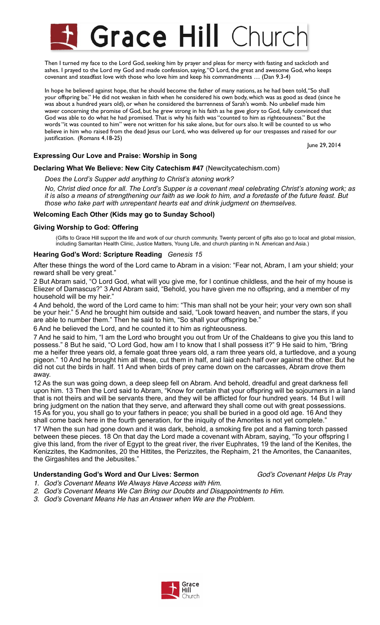# **Grace Hill Churc**

Then I turned my face to the Lord God, seeking him by prayer and pleas for mercy with fasting and sackcloth and ashes. I prayed to the Lord my God and made confession, saying, "O Lord, the great and awesome God, who keeps covenant and steadfast love with those who love him and keep his commandments … (Dan 9.3-4)

In hope he believed against hope, that he should become the father of many nations, as he had been told, "So shall your offspring be." He did not weaken in faith when he considered his own body, which was as good as dead (since he was about a hundred years old), or when he considered the barrenness of Sarah's womb. No unbelief made him waver concerning the promise of God, but he grew strong in his faith as he gave glory to God, fully convinced that God was able to do what he had promised. That is why his faith was "counted to him as righteousness." But the words "it was counted to him" were not written for his sake alone, but for ours also. It will be counted to us who believe in him who raised from the dead Jesus our Lord, who was delivered up for our trespasses and raised for our justification. (Romans 4.18-25)

June 29, 2014

## **Expressing Our Love and Praise: Worship in Song**

## **Declaring What We Believe: New City Catechism #47** (Newcitycatechism.com)

*Does the Lord's Supper add anything to Christ's atoning work?* 

*No, Christ died once for all. The Lord's Supper is a covenant meal celebrating Christ's atoning work; as it is also a means of strengthening our faith as we look to him, and a foretaste of the future feast. But those who take part with unrepentant hearts eat and drink judgment on themselves.* 

## **Welcoming Each Other (Kids may go to Sunday School)**

## **Giving Worship to God: Offering**

(Gifts to Grace Hill support the life and work of our church community. Twenty percent of gifts also go to local and global mission, including Samaritan Health Clinic, Justice Matters, Young Life, and church planting in N. American and Asia.)

## **Hearing God's Word: Scripture Reading** *Genesis 15*

After these things the word of the Lord came to Abram in a vision: "Fear not, Abram, I am your shield; your reward shall be very great."

2 But Abram said, "O Lord God, what will you give me, for I continue childless, and the heir of my house is Eliezer of Damascus?" 3 And Abram said, "Behold, you have given me no offspring, and a member of my household will be my heir."

4 And behold, the word of the Lord came to him: "This man shall not be your heir; your very own son shall be your heir." 5 And he brought him outside and said, "Look toward heaven, and number the stars, if you are able to number them." Then he said to him, "So shall your offspring be."

6 And he believed the Lord, and he counted it to him as righteousness.

7 And he said to him, "I am the Lord who brought you out from Ur of the Chaldeans to give you this land to possess." 8 But he said, "O Lord God, how am I to know that I shall possess it?" 9 He said to him, "Bring me a heifer three years old, a female goat three years old, a ram three years old, a turtledove, and a young pigeon." 10 And he brought him all these, cut them in half, and laid each half over against the other. But he did not cut the birds in half. 11 And when birds of prey came down on the carcasses, Abram drove them away.

12 As the sun was going down, a deep sleep fell on Abram. And behold, dreadful and great darkness fell upon him. 13 Then the Lord said to Abram, "Know for certain that your offspring will be sojourners in a land that is not theirs and will be servants there, and they will be afflicted for four hundred years. 14 But I will bring judgment on the nation that they serve, and afterward they shall come out with great possessions. 15 As for you, you shall go to your fathers in peace; you shall be buried in a good old age. 16 And they shall come back here in the fourth generation, for the iniquity of the Amorites is not yet complete."

17 When the sun had gone down and it was dark, behold, a smoking fire pot and a flaming torch passed between these pieces. 18 On that day the Lord made a covenant with Abram, saying, "To your offspring I give this land, from the river of Egypt to the great river, the river Euphrates, 19 the land of the Kenites, the Kenizzites, the Kadmonites, 20 the Hittites, the Perizzites, the Rephaim, 21 the Amorites, the Canaanites, the Girgashites and the Jebusites."

## **Understanding God's Word and Our Lives: Sermon**! ! ! *God's Covenant Helps Us Pray*

- *1. God's Covenant Means We Always Have Access with Him. 2. God's Covenant Means We Can Bring our Doubts and Disappointments to Him.*
- *3. God's Covenant Means He has an Answer when We are the Problem.*